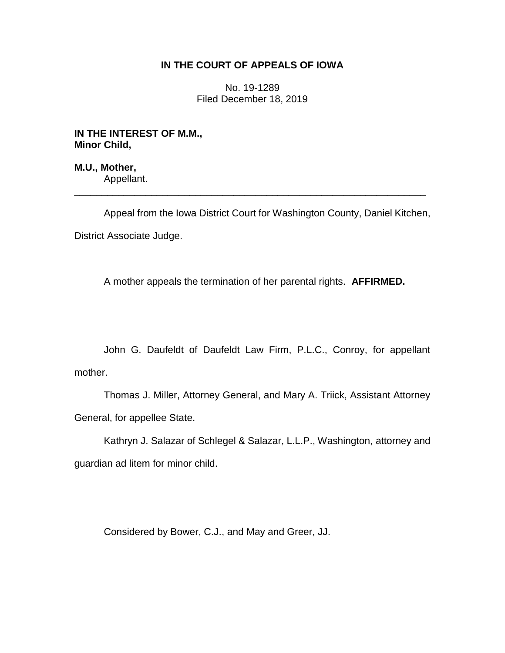## **IN THE COURT OF APPEALS OF IOWA**

No. 19-1289 Filed December 18, 2019

**IN THE INTEREST OF M.M., Minor Child,**

**M.U., Mother,** Appellant.

Appeal from the Iowa District Court for Washington County, Daniel Kitchen,

\_\_\_\_\_\_\_\_\_\_\_\_\_\_\_\_\_\_\_\_\_\_\_\_\_\_\_\_\_\_\_\_\_\_\_\_\_\_\_\_\_\_\_\_\_\_\_\_\_\_\_\_\_\_\_\_\_\_\_\_\_\_\_\_

District Associate Judge.

A mother appeals the termination of her parental rights. **AFFIRMED.**

John G. Daufeldt of Daufeldt Law Firm, P.L.C., Conroy, for appellant mother.

Thomas J. Miller, Attorney General, and Mary A. Triick, Assistant Attorney General, for appellee State.

Kathryn J. Salazar of Schlegel & Salazar, L.L.P., Washington, attorney and guardian ad litem for minor child.

Considered by Bower, C.J., and May and Greer, JJ.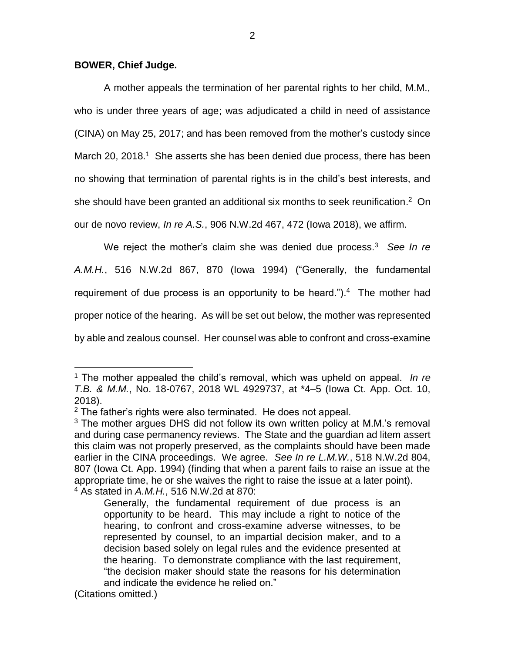## **BOWER, Chief Judge.**

A mother appeals the termination of her parental rights to her child, M.M., who is under three years of age; was adjudicated a child in need of assistance (CINA) on May 25, 2017; and has been removed from the mother's custody since March 20, 2018.<sup>1</sup> She asserts she has been denied due process, there has been no showing that termination of parental rights is in the child's best interests, and she should have been granted an additional six months to seek reunification.<sup>2</sup> On our de novo review, *In re A.S.*, 906 N.W.2d 467, 472 (Iowa 2018), we affirm.

We reject the mother's claim she was denied due process.<sup>3</sup> *See In re A.M.H.*, 516 N.W.2d 867, 870 (Iowa 1994) ("Generally, the fundamental requirement of due process is an opportunity to be heard."). $4$  The mother had proper notice of the hearing. As will be set out below, the mother was represented by able and zealous counsel. Her counsel was able to confront and cross-examine

 $\overline{a}$ 

<sup>1</sup> The mother appealed the child's removal, which was upheld on appeal. *In re T.B. & M.M.*, No. 18-0767, 2018 WL 4929737, at \*4–5 (Iowa Ct. App. Oct. 10, 2018).

 $2$  The father's rights were also terminated. He does not appeal.

<sup>&</sup>lt;sup>3</sup> The mother argues DHS did not follow its own written policy at M.M.'s removal and during case permanency reviews. The State and the guardian ad litem assert this claim was not properly preserved, as the complaints should have been made earlier in the CINA proceedings. We agree. *See In re L.M.W.*, 518 N.W.2d 804, 807 (Iowa Ct. App. 1994) (finding that when a parent fails to raise an issue at the appropriate time, he or she waives the right to raise the issue at a later point). <sup>4</sup> As stated in *A.M.H.*, 516 N.W.2d at 870:

Generally, the fundamental requirement of due process is an opportunity to be heard. This may include a right to notice of the hearing, to confront and cross-examine adverse witnesses, to be represented by counsel, to an impartial decision maker, and to a decision based solely on legal rules and the evidence presented at the hearing. To demonstrate compliance with the last requirement, "the decision maker should state the reasons for his determination and indicate the evidence he relied on."

<sup>(</sup>Citations omitted.)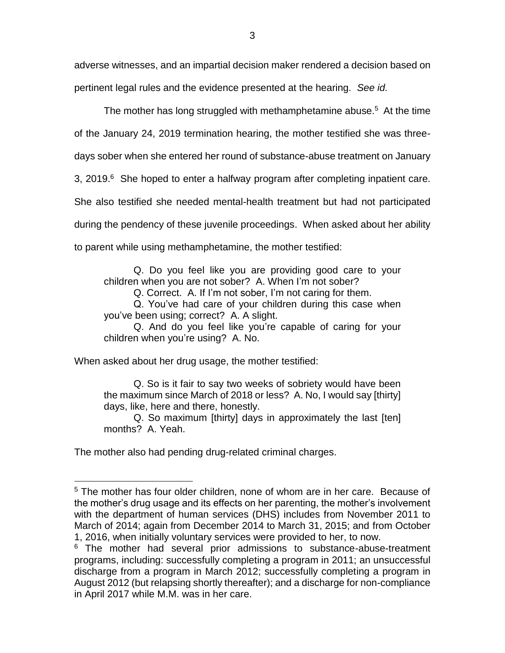adverse witnesses, and an impartial decision maker rendered a decision based on pertinent legal rules and the evidence presented at the hearing. *See id.*

The mother has long struggled with methamphetamine abuse. <sup>5</sup> At the time of the January 24, 2019 termination hearing, the mother testified she was threedays sober when she entered her round of substance-abuse treatment on January 3, 2019. $6$  She hoped to enter a halfway program after completing inpatient care. She also testified she needed mental-health treatment but had not participated during the pendency of these juvenile proceedings. When asked about her ability to parent while using methamphetamine, the mother testified:

Q. Do you feel like you are providing good care to your children when you are not sober? A. When I'm not sober?

Q. Correct. A. If I'm not sober, I'm not caring for them.

Q. You've had care of your children during this case when you've been using; correct? A. A slight.

Q. And do you feel like you're capable of caring for your children when you're using? A. No.

When asked about her drug usage, the mother testified:

Q. So is it fair to say two weeks of sobriety would have been the maximum since March of 2018 or less? A. No, I would say [thirty] days, like, here and there, honestly.

Q. So maximum [thirty] days in approximately the last [ten] months? A. Yeah.

The mother also had pending drug-related criminal charges.

 $\overline{a}$ 

<sup>5</sup> The mother has four older children, none of whom are in her care. Because of the mother's drug usage and its effects on her parenting, the mother's involvement with the department of human services (DHS) includes from November 2011 to March of 2014; again from December 2014 to March 31, 2015; and from October 1, 2016, when initially voluntary services were provided to her, to now.

<sup>&</sup>lt;sup>6</sup> The mother had several prior admissions to substance-abuse-treatment programs, including: successfully completing a program in 2011; an unsuccessful discharge from a program in March 2012; successfully completing a program in August 2012 (but relapsing shortly thereafter); and a discharge for non-compliance in April 2017 while M.M. was in her care.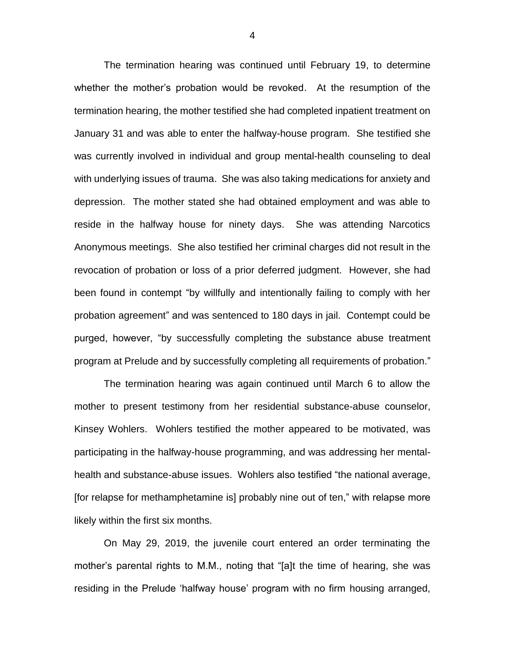The termination hearing was continued until February 19, to determine whether the mother's probation would be revoked. At the resumption of the termination hearing, the mother testified she had completed inpatient treatment on January 31 and was able to enter the halfway-house program. She testified she was currently involved in individual and group mental-health counseling to deal with underlying issues of trauma. She was also taking medications for anxiety and depression. The mother stated she had obtained employment and was able to reside in the halfway house for ninety days. She was attending Narcotics Anonymous meetings. She also testified her criminal charges did not result in the revocation of probation or loss of a prior deferred judgment. However, she had been found in contempt "by willfully and intentionally failing to comply with her probation agreement" and was sentenced to 180 days in jail. Contempt could be purged, however, "by successfully completing the substance abuse treatment program at Prelude and by successfully completing all requirements of probation."

The termination hearing was again continued until March 6 to allow the mother to present testimony from her residential substance-abuse counselor, Kinsey Wohlers. Wohlers testified the mother appeared to be motivated, was participating in the halfway-house programming, and was addressing her mentalhealth and substance-abuse issues. Wohlers also testified "the national average, [for relapse for methamphetamine is] probably nine out of ten," with relapse more likely within the first six months.

On May 29, 2019, the juvenile court entered an order terminating the mother's parental rights to M.M., noting that "[a]t the time of hearing, she was residing in the Prelude 'halfway house' program with no firm housing arranged,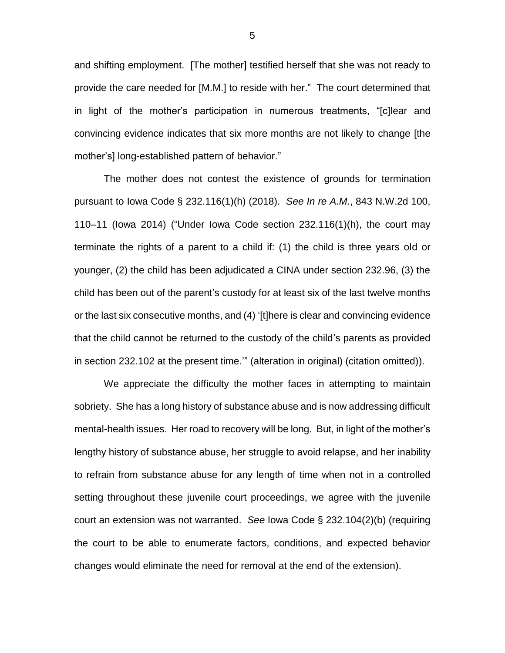and shifting employment. [The mother] testified herself that she was not ready to provide the care needed for [M.M.] to reside with her." The court determined that in light of the mother's participation in numerous treatments, "[c]lear and convincing evidence indicates that six more months are not likely to change [the mother's] long-established pattern of behavior."

The mother does not contest the existence of grounds for termination pursuant to Iowa Code § 232.116(1)(h) (2018). *See In re A.M.*, 843 N.W.2d 100, 110–11 (Iowa 2014) ("Under Iowa Code section 232.116(1)(h), the court may terminate the rights of a parent to a child if: (1) the child is three years old or younger, (2) the child has been adjudicated a CINA under section 232.96, (3) the child has been out of the parent's custody for at least six of the last twelve months or the last six consecutive months, and (4) '[t]here is clear and convincing evidence that the child cannot be returned to the custody of the child's parents as provided in section 232.102 at the present time.'" (alteration in original) (citation omitted)).

We appreciate the difficulty the mother faces in attempting to maintain sobriety. She has a long history of substance abuse and is now addressing difficult mental-health issues. Her road to recovery will be long. But, in light of the mother's lengthy history of substance abuse, her struggle to avoid relapse, and her inability to refrain from substance abuse for any length of time when not in a controlled setting throughout these juvenile court proceedings, we agree with the juvenile court an extension was not warranted. *See* Iowa Code § 232.104(2)(b) (requiring the court to be able to enumerate factors, conditions, and expected behavior changes would eliminate the need for removal at the end of the extension).

5